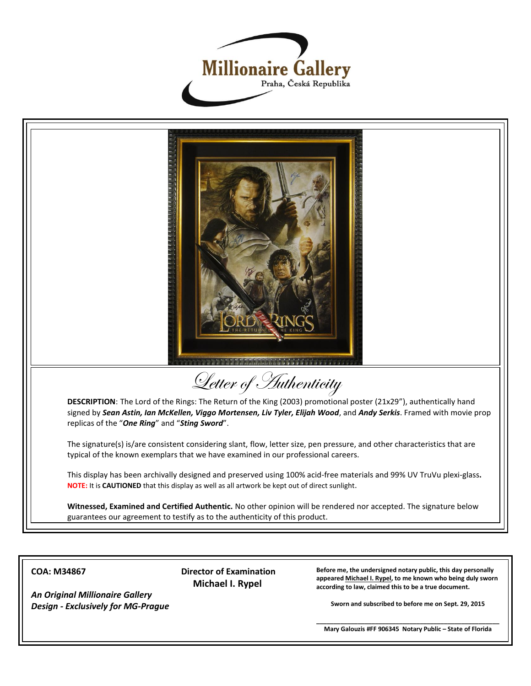



**COA: M34867**

*An Original Millionaire Gallery Design - Exclusively for MG-Prague* **Director of Examination Michael I. Rypel**

**Before me, the undersigned notary public, this day personally appeared Michael I. Rypel, to me known who being duly sworn according to law, claimed this to be a true document.**

**Sworn and subscribed to before me on Sept. 29, 2015**

**\_\_\_\_\_\_\_\_\_\_\_\_\_\_\_\_\_\_\_\_\_\_\_\_\_\_\_\_\_\_\_\_\_\_\_\_\_\_\_\_\_\_\_\_\_\_\_\_\_\_\_\_\_ Mary Galouzis #FF 906345 Notary Public – State of Florida**